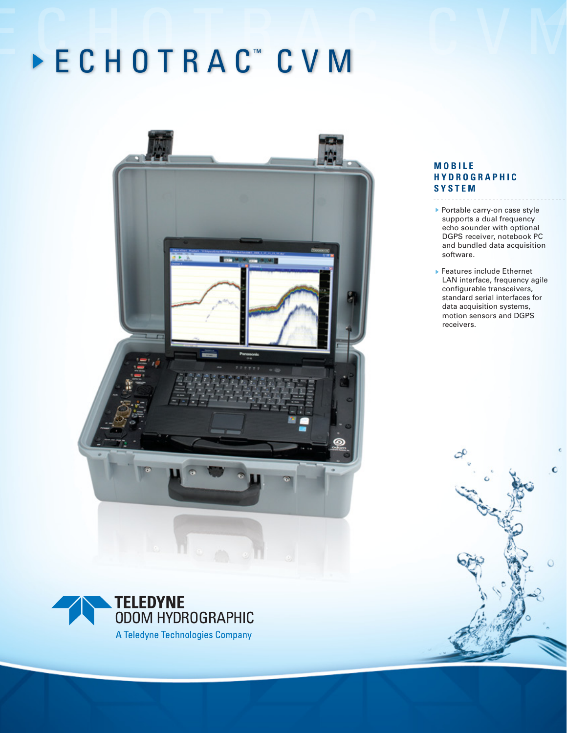# E C H O T R A C C V M E C H O T R A <sup>C</sup> ™ C V M



# **M O B I L E H Y D R O G R A P H I C S Y S T E M**

- ▶ Portable carry-on case style supports a dual frequency echo sounder with optional DGPS receiver, notebook PC and bundled data acquisition software.
- ▶ Features include Ethernet LAN interface, frequency agile configurable transceivers, standard serial interfaces for data acquisition systems, motion sensors and DGPS receivers.